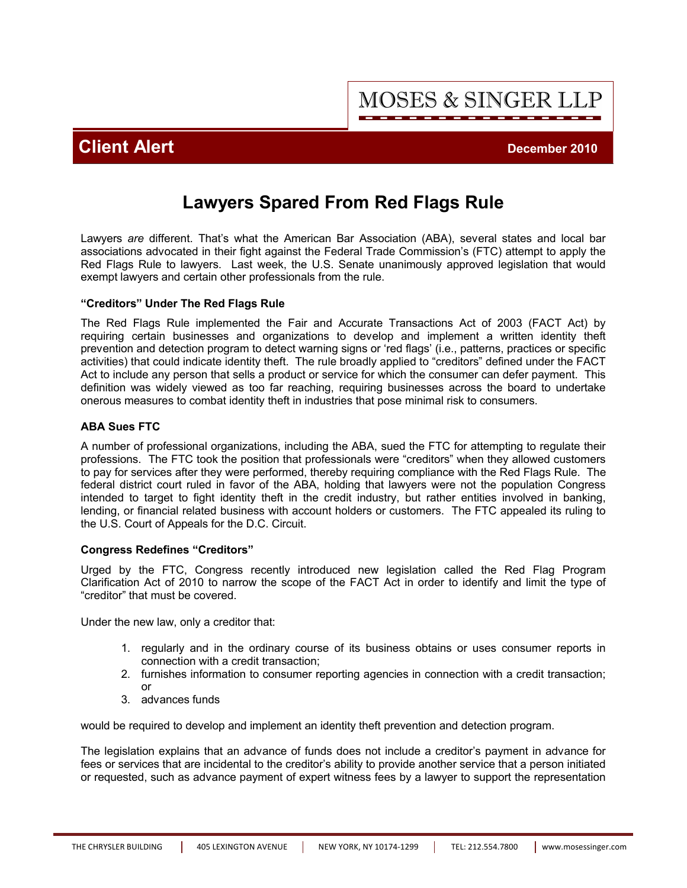MOSES & SINGER LLP

# **Client Alert Client Alert** *December 2010*

# **Lawyers Spared From Red Flags Rule**

Lawyers *are* different. That's what the American Bar Association (ABA), several states and local bar associations advocated in their fight against the Federal Trade Commission's (FTC) attempt to apply the Red Flags Rule to lawyers. Last week, the U.S. Senate unanimously approved legislation that would exempt lawyers and certain other professionals from the rule.

### **"Creditors" Under The Red Flags Rule**

The Red Flags Rule implemented the Fair and Accurate Transactions Act of 2003 (FACT Act) by requiring certain businesses and organizations to develop and implement a written identity theft prevention and detection program to detect warning signs or 'red flags' (i.e., patterns, practices or specific activities) that could indicate identity theft. The rule broadly applied to "creditors" defined under the FACT Act to include any person that sells a product or service for which the consumer can defer payment. This definition was widely viewed as too far reaching, requiring businesses across the board to undertake onerous measures to combat identity theft in industries that pose minimal risk to consumers.

### **ABA Sues FTC**

A number of professional organizations, including the ABA, sued the FTC for attempting to regulate their professions. The FTC took the position that professionals were "creditors" when they allowed customers to pay for services after they were performed, thereby requiring compliance with the Red Flags Rule. The federal district court ruled in favor of the ABA, holding that lawyers were not the population Congress intended to target to fight identity theft in the credit industry, but rather entities involved in banking, lending, or financial related business with account holders or customers. The FTC appealed its ruling to the U.S. Court of Appeals for the D.C. Circuit.

#### **Congress Redefines "Creditors"**

Urged by the FTC, Congress recently introduced new legislation called the Red Flag Program Clarification Act of 2010 to narrow the scope of the FACT Act in order to identify and limit the type of "creditor" that must be covered.

Under the new law, only a creditor that:

- 1. regularly and in the ordinary course of its business obtains or uses consumer reports in connection with a credit transaction;
- 2. furnishes information to consumer reporting agencies in connection with a credit transaction; or
- 3. advances funds

would be required to develop and implement an identity theft prevention and detection program.

The legislation explains that an advance of funds does not include a creditor's payment in advance for fees or services that are incidental to the creditor's ability to provide another service that a person initiated or requested, such as advance payment of expert witness fees by a lawyer to support the representation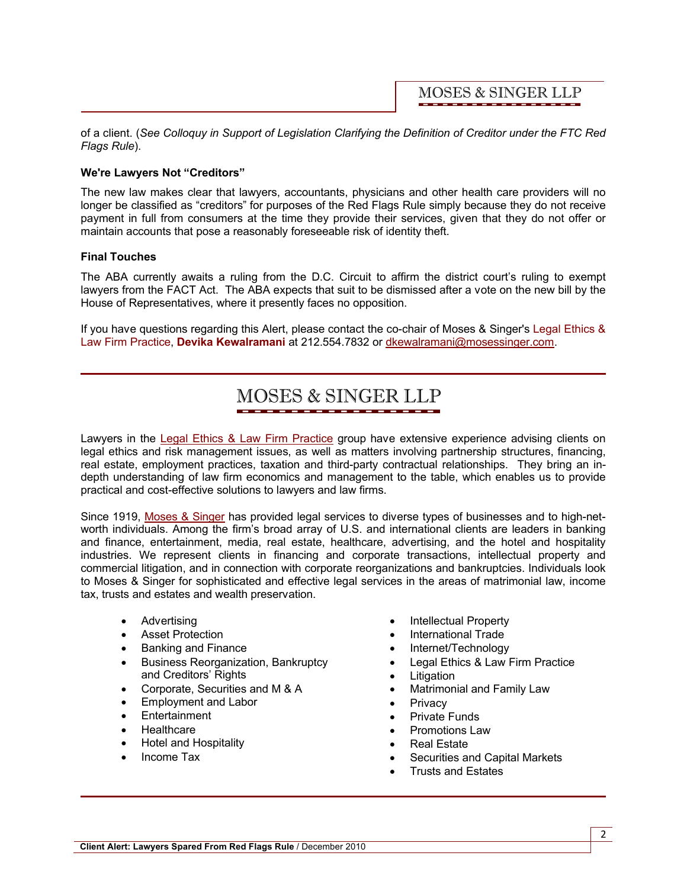**MOSES & SINGER LLP** 

of a client. (*See Colloquy in Support of Legislation Clarifying the Definition of Creditor under the FTC Red Flags Rule*).

### **We're Lawyers Not "Creditors"**

The new law makes clear that lawyers, accountants, physicians and other health care providers will no longer be classified as "creditors" for purposes of the Red Flags Rule simply because they do not receive payment in full from consumers at the time they provide their services, given that they do not offer or maintain accounts that pose a reasonably foreseeable risk of identity theft.

#### **Final Touches**

The ABA currently awaits a ruling from the D.C. Circuit to affirm the district court's ruling to exempt lawyers from the FACT Act. The ABA expects that suit to be dismissed after a vote on the new bill by the House of Representatives, where it presently faces no opposition.

[If you have questions regarding this Alert, please contact the co-chair of Moses & Singer's Legal Ethics &](http://www.mosessinger.com/LegalEthics/)  Law Firm Practice, **[Devika Kewalramani](http://www.mosessinger.com/personnel/dkewalramani/)** at 212.554.7832 or dkewalramani@mosessinger.com.

# MOSES & SINGER LLP

Lawyers in the [Legal Ethics & Law Firm Practice](http://www.mosessinger.com/LegalEthics/) group have extensive experience advising clients on legal ethics and risk management issues, as well as matters involving partnership structures, financing, real estate, employment practices, taxation and third-party contractual relationships. They bring an indepth understanding of law firm economics and management to the table, which enables us to provide practical and cost-effective solutions to lawyers and law firms.

Since 1919, [Moses & Singer](http://www.mosessinger.com/firm_profile/firm_description.php) has provided legal services to diverse types of businesses and to high-networth individuals. Among the firm's broad array of U.S. and international clients are leaders in banking and finance, entertainment, media, real estate, healthcare, advertising, and the hotel and hospitality industries. We represent clients in financing and corporate transactions, intellectual property and commercial litigation, and in connection with corporate reorganizations and bankruptcies. Individuals look to Moses & Singer for sophisticated and effective legal services in the areas of matrimonial law, income tax, trusts and estates and wealth preservation.

- · Advertising
- · Asset Protection
- · Banking and Finance
- · Business Reorganization, Bankruptcy and Creditors' Rights
- · Corporate, Securities and M & A
- · Employment and Labor
- · Entertainment
- · Healthcare
- · Hotel and Hospitality
- Income Tax
- · Intellectual Property
- · International Trade
- · Internet/Technology
- Legal Ethics & Law Firm Practice
- · Litigation
- Matrimonial and Family Law
- **Privacy**
- **Private Funds**
- · Promotions Law
- Real Estate
- Securities and Capital Markets
- · Trusts and Estates